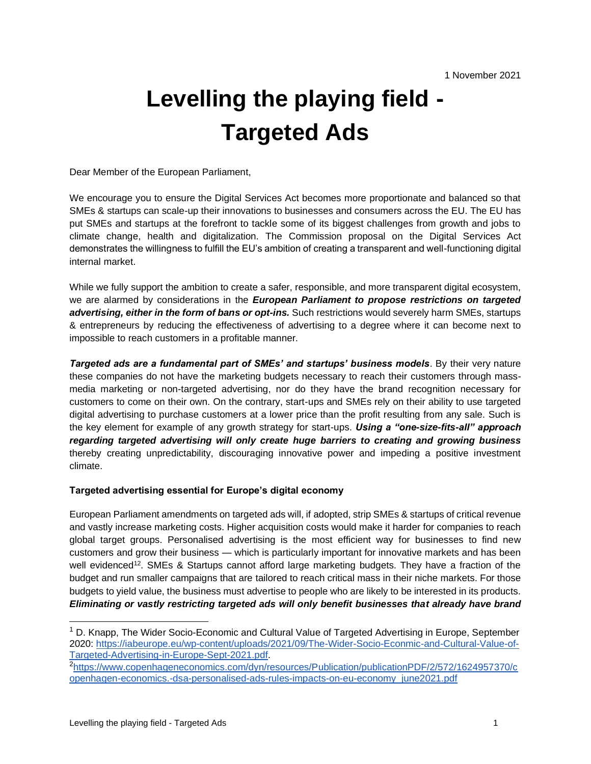## **Levelling the playing field - Targeted Ads**

Dear Member of the European Parliament,

We encourage you to ensure the Digital Services Act becomes more proportionate and balanced so that SMEs & startups can scale-up their innovations to businesses and consumers across the EU. The EU has put SMEs and startups at the forefront to tackle some of its biggest challenges from growth and jobs to climate change, health and digitalization. The Commission proposal on the Digital Services Act demonstrates the willingness to fulfill the EU's ambition of creating a transparent and well-functioning digital internal market.

While we fully support the ambition to create a safer, responsible, and more transparent digital ecosystem, we are alarmed by considerations in the *European Parliament to propose restrictions on targeted advertising, either in the form of bans or opt-ins.* Such restrictions would severely harm SMEs, startups & entrepreneurs by reducing the effectiveness of advertising to a degree where it can become next to impossible to reach customers in a profitable manner.

*Targeted ads are a fundamental part of SMEs' and startups' business models*. By their very nature these companies do not have the marketing budgets necessary to reach their customers through massmedia marketing or non-targeted advertising, nor do they have the brand recognition necessary for customers to come on their own. On the contrary, start-ups and SMEs rely on their ability to use targeted digital advertising to purchase customers at a lower price than the profit resulting from any sale. Such is the key element for example of any growth strategy for start-ups. *Using a "one-size-fits-all" approach regarding targeted advertising will only create huge barriers to creating and growing business*  thereby creating unpredictability, discouraging innovative power and impeding a positive investment climate.

## **Targeted advertising essential for Europe's digital economy**

European Parliament amendments on targeted ads will, if adopted, strip SMEs & startups of critical revenue and vastly increase marketing costs. Higher acquisition costs would make it harder for companies to reach global target groups. Personalised advertising is the most efficient way for businesses to find new customers and grow their business — which is particularly important for innovative markets and has been well evidenced<sup>12</sup>. SMEs & Startups cannot afford large marketing budgets. They have a fraction of the budget and run smaller campaigns that are tailored to reach critical mass in their niche markets. For those budgets to yield value, the business must advertise to people who are likely to be interested in its products. *Eliminating or vastly restricting targeted ads will only benefit businesses that already have brand* 

 $1$  D. Knapp, The Wider Socio-Economic and Cultural Value of Targeted Advertising in Europe, September 2020: [https://iabeurope.eu/wp-content/uploads/2021/09/The-Wider-Socio-Econmic-and-Cultural-Value-of-](https://iabeurope.eu/wp-content/uploads/2021/09/The-Wider-Socio-Econmic-and-Cultural-Value-of-Targeted-Advertising-in-Europe-Sept-2021.pdf)[Targeted-Advertising-in-Europe-Sept-2021.pdf.](https://iabeurope.eu/wp-content/uploads/2021/09/The-Wider-Socio-Econmic-and-Cultural-Value-of-Targeted-Advertising-in-Europe-Sept-2021.pdf)

<sup>2</sup>[https://www.copenhageneconomics.com/dyn/resources/Publication/publicationPDF/2/572/1624957370/c](https://www.copenhageneconomics.com/dyn/resources/Publication/publicationPDF/2/572/1624957370/copenhagen-economics.-dsa-personalised-ads-rules-impacts-on-eu-economy_june2021.pdf) [openhagen-economics.-dsa-personalised-ads-rules-impacts-on-eu-economy\\_june2021.pdf](https://www.copenhageneconomics.com/dyn/resources/Publication/publicationPDF/2/572/1624957370/copenhagen-economics.-dsa-personalised-ads-rules-impacts-on-eu-economy_june2021.pdf)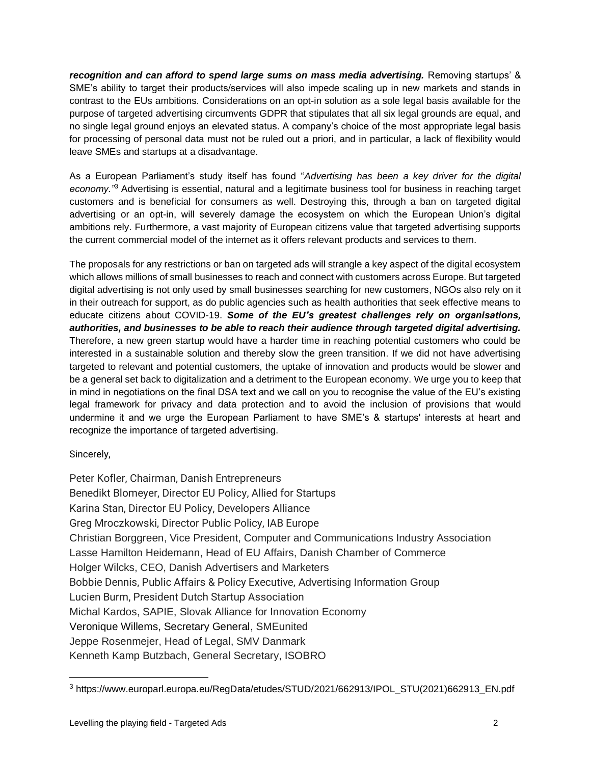*recognition and can afford to spend large sums on mass media advertising.* Removing startups' & SME's ability to target their products/services will also impede scaling up in new markets and stands in contrast to the EUs ambitions. Considerations on an opt-in solution as a sole legal basis available for the purpose of targeted advertising circumvents GDPR that stipulates that all six legal grounds are equal, and no single legal ground enjoys an elevated status. A company's choice of the most appropriate legal basis for processing of personal data must not be ruled out a priori, and in particular, a lack of flexibility would leave SMEs and startups at a disadvantage.

As a European Parliament's study itself has found "*Advertising has been a key driver for the digital economy."*<sup>3</sup> Advertising is essential, natural and a legitimate business tool for business in reaching target customers and is beneficial for consumers as well. Destroying this, through a ban on targeted digital advertising or an opt-in, will severely damage the ecosystem on which the European Union's digital ambitions rely. Furthermore, a vast majority of European citizens value that targeted advertising supports the current commercial model of the internet as it offers relevant products and services to them.

The proposals for any restrictions or ban on targeted ads will strangle a key aspect of the digital ecosystem which allows millions of small businesses to reach and connect with customers across Europe. But targeted digital advertising is not only used by small businesses searching for new customers, NGOs also rely on it in their outreach for support, as do public agencies such as health authorities that seek effective means to educate citizens about COVID-19. *Some of the EU's greatest challenges rely on organisations, authorities, and businesses to be able to reach their audience through targeted digital advertising.*  Therefore, a new green startup would have a harder time in reaching potential customers who could be interested in a sustainable solution and thereby slow the green transition. If we did not have advertising targeted to relevant and potential customers, the uptake of innovation and products would be slower and be a general set back to digitalization and a detriment to the European economy. We urge you to keep that in mind in negotiations on the final DSA text and we call on you to recognise the value of the EU's existing legal framework for privacy and data protection and to avoid the inclusion of provisions that would undermine it and we urge the European Parliament to have SME's & startups' interests at heart and recognize the importance of targeted advertising.

Sincerely,

Peter Kofler, Chairman, Danish Entrepreneurs Benedikt Blomeyer, Director EU Policy, Allied for Startups Karina Stan, Director EU Policy, Developers Alliance Greg Mroczkowski, Director Public Policy, IAB Europe Christian Borggreen, Vice President, Computer and Communications Industry Association Lasse Hamilton Heidemann, Head of EU Affairs, Danish Chamber of Commerce Holger Wilcks, CEO, Danish Advertisers and Marketers Bobbie Dennis, Public Affairs & Policy Executive, Advertising Information Group Lucien Burm, President Dutch Startup Association Michal Kardos, SAPIE, Slovak Alliance for Innovation Economy Veronique Willems, Secretary General, SMEunited Jeppe Rosenmejer, Head of Legal, SMV Danmark Kenneth Kamp Butzbach, General Secretary, ISOBRO

<sup>3</sup> https://www.europarl.europa.eu/RegData/etudes/STUD/2021/662913/IPOL\_STU(2021)662913\_EN.pdf